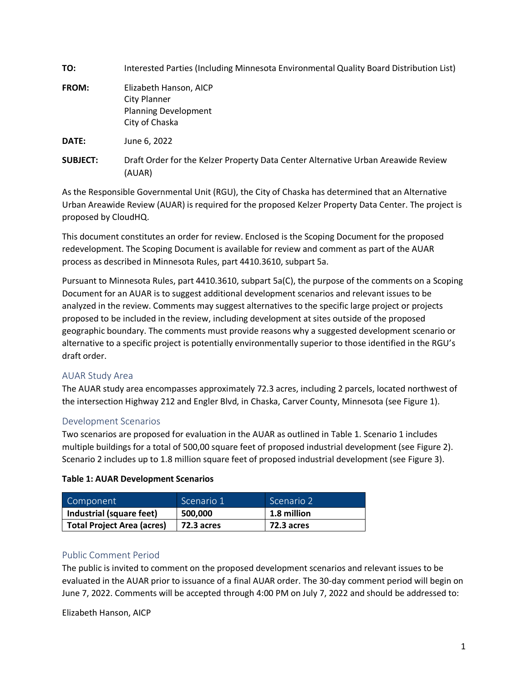| TO:             | Interested Parties (Including Minnesota Environmental Quality Board Distribution List)         |
|-----------------|------------------------------------------------------------------------------------------------|
| FROM:           | Elizabeth Hanson, AICP<br><b>City Planner</b><br><b>Planning Development</b><br>City of Chaska |
| DATE:           | June 6, 2022                                                                                   |
| <b>SUBJECT:</b> | Draft Order for the Kelzer Property Data Center Alternative Urban Areawide Review<br>(AUAR)    |

As the Responsible Governmental Unit (RGU), the City of Chaska has determined that an Alternative Urban Areawide Review (AUAR) is required for the proposed Kelzer Property Data Center. The project is proposed by CloudHQ.

This document constitutes an order for review. Enclosed is the Scoping Document for the proposed redevelopment. The Scoping Document is available for review and comment as part of the AUAR process as described in Minnesota Rules, part 4410.3610, subpart 5a.

Pursuant to Minnesota Rules, part 4410.3610, subpart 5a(C), the purpose of the comments on a Scoping Document for an AUAR is to suggest additional development scenarios and relevant issues to be analyzed in the review. Comments may suggest alternatives to the specific large project or projects proposed to be included in the review, including development at sites outside of the proposed geographic boundary. The comments must provide reasons why a suggested development scenario or alternative to a specific project is potentially environmentally superior to those identified in the RGU's draft order.

#### AUAR Study Area

The AUAR study area encompasses approximately 72.3 acres, including 2 parcels, located northwest of the intersection Highway 212 and Engler Blvd, in Chaska, Carver County, Minnesota (see Figure 1).

### Development Scenarios

Two scenarios are proposed for evaluation in the AUAR as outlined in Table 1. Scenario 1 includes multiple buildings for a total of 500,00 square feet of proposed industrial development (see Figure 2). Scenario 2 includes up to 1.8 million square feet of proposed industrial development (see Figure 3).

| <b>Table 1: AUAR Development Scenarios</b> |  |  |  |  |  |  |
|--------------------------------------------|--|--|--|--|--|--|
|--------------------------------------------|--|--|--|--|--|--|

| Component,                 | Scenario 1 | Scenario 2        |
|----------------------------|------------|-------------------|
| Industrial (square feet)   | 500.000    | 1.8 million       |
| Total Project Area (acres) | 72.3 acres | <b>72.3 acres</b> |

### Public Comment Period

The public is invited to comment on the proposed development scenarios and relevant issues to be evaluated in the AUAR prior to issuance of a final AUAR order. The 30-day comment period will begin on June 7, 2022. Comments will be accepted through 4:00 PM on July 7, 2022 and should be addressed to:

Elizabeth Hanson, AICP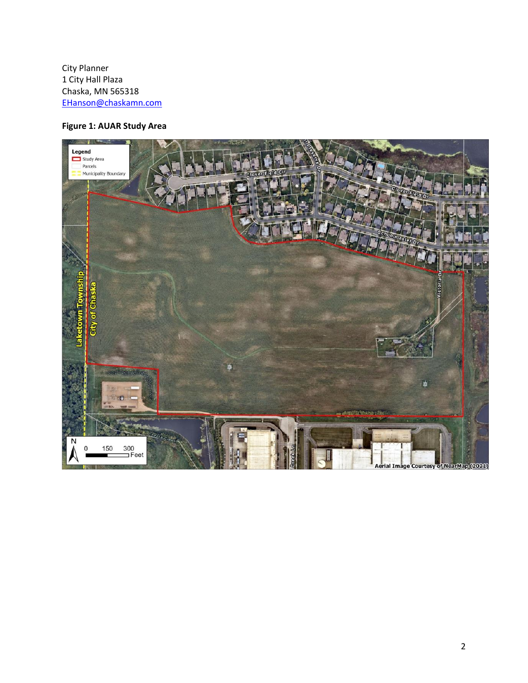City Planner 1 City Hall Plaza Chaska, MN 565318 [EHanson@chaskamn.com](mailto:EHanson@chaskamn.com)

# **Figure 1: AUAR Study Area**

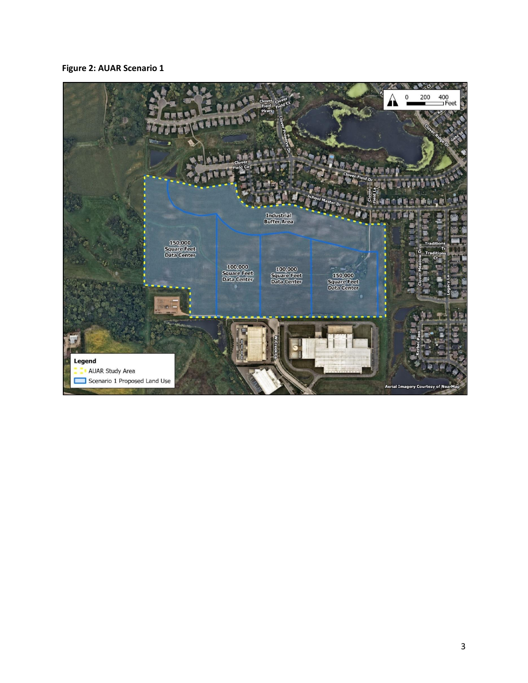### **Figure 2: AUAR Scenario 1**